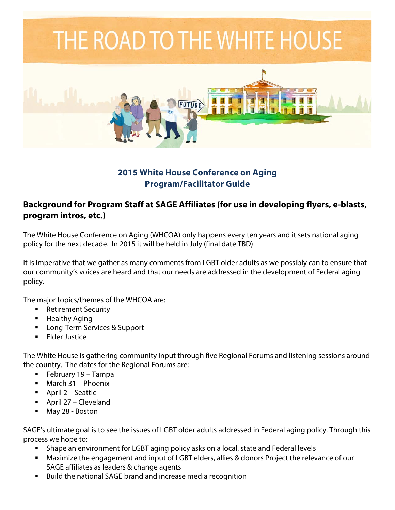# THE ROAD TO THE WHITE HOUSE



#### **2015 White House Conference on Aging Program/Facilitator Guide**

#### **Background for Program Staff at SAGE Affiliates (for use in developing flyers, e-blasts, program intros, etc.)**

The White House Conference on Aging (WHCOA) only happens every ten years and it sets national aging policy for the next decade. In 2015 it will be held in July (final date TBD).

It is imperative that we gather as many comments from LGBT older adults as we possibly can to ensure that our community's voices are heard and that our needs are addressed in the development of Federal aging policy.

The major topics/themes of the WHCOA are:

- Retirement Security
- Healthy Aging
- **Long-Term Services & Support**
- Elder Justice

The White House is gathering community input through five Regional Forums and listening sessions around the country. The dates for the Regional Forums are:

- February 19 Tampa
- **March 31 Phoenix**
- April 2 Seattle
- April 27 Cleveland
- May 28 Boston

SAGE's ultimate goal is to see the issues of LGBT older adults addressed in Federal aging policy. Through this process we hope to:

- Shape an environment for LGBT aging policy asks on a local, state and Federal levels
- Maximize the engagement and input of LGBT elders, allies & donors Project the relevance of our SAGE affiliates as leaders & change agents
- Build the national SAGE brand and increase media recognition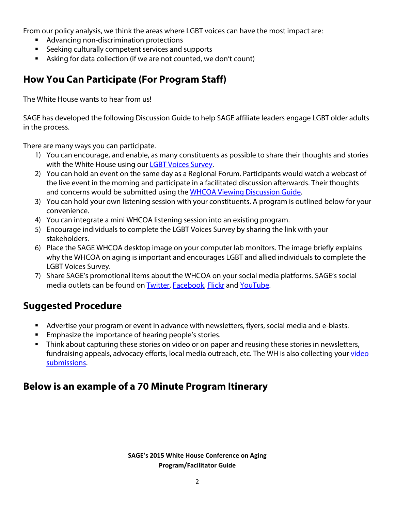From our policy analysis, we think the areas where LGBT voices can have the most impact are:

- **Advancing non-discrimination protections**
- **EXECTE Seeking culturally competent services and supports**
- Asking for data collection (if we are not counted, we don't count)

#### **How You Can Participate (For Program Staff)**

The White House wants to hear from us!

SAGE has developed the following Discussion Guide to help SAGE affiliate leaders engage LGBT older adults in the process.

There are many ways you can participate.

- 1) You can encourage, and enable, as many constituents as possible to share their thoughts and stories with the White House using our [LGBT Voices Survey.](http://bitly.com/lgbtvoicessurvey)
- 2) You can hold an event on the same day as a Regional Forum. Participants would watch a webcast of the live event in the morning and participate in a facilitated discussion afterwards. Their thoughts and concerns would be submitted using the WHCOA Viewing Discussion Guide.
- 3) You can hold your own listening session with your constituents. A program is outlined below for your convenience.
- 4) You can integrate a mini WHCOA listening session into an existing program.
- 5) Encourage individuals to complete the LGBT Voices Survey by sharing the link with your stakeholders.
- 6) Place the SAGE WHCOA desktop image on your computer lab monitors. The image briefly explains why the WHCOA on aging is important and encourages LGBT and allied individuals to complete the LGBT Voices Survey.
- 7) Share SAGE's promotional items about the WHCOA on your social media platforms. SAGE's social media outlets can be found on [Twitter,](http://twitter.com/sageusa) [Facebook,](http://facebook.com/sageusa) [Flickr](http://flickr.com/sageusa) and [YouTube.](http://youtube.com/sageusa)

## **Suggested Procedure**

- Advertise your program or event in advance with newsletters, flyers, social media and e-blasts.
- **Emphasize the importance of hearing people's stories.**
- Think about capturing these stories on video or on paper and reusing these stories in newsletters, fundraising appeals, advocacy efforts, local media outreach, etc. The WH is also collecting your video [submissions.](http://www.whitehouseconferenceonaging.gov/submissions/register.aspx)

## **Below is an example of a 70 Minute Program Itinerary**

**SAGE's 2015 White House Conference on Aging Program/Facilitator Guide**